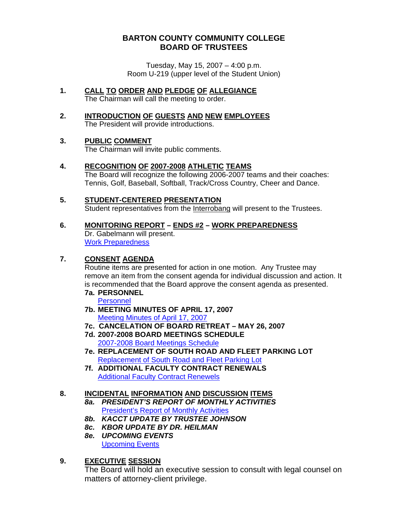## **BARTON COUNTY COMMUNITY COLLEGE BOARD OF TRUSTEES**

Tuesday, May 15, 2007 – 4:00 p.m. Room U-219 (upper level of the Student Union)

- **1. CALL TO ORDER AND PLEDGE OF ALLEGIANCE** The Chairman will call the meeting to order.
- **2. INTRODUCTION OF GUESTS AND NEW EMPLOYEES** The President will provide introductions.

## **3. PUBLIC COMMENT**

The Chairman will invite public comments.

# **4. RECOGNITION OF 2007-2008 ATHLETIC TEAMS**

 The Board will recognize the following 2006-2007 teams and their coaches: Tennis, Golf, Baseball, Softball, Track/Cross Country, Cheer and Dance.

# **5. STUDENT-CENTERED PRESENTATION**

Student representatives from the Interrobang will present to the Trustees.

# **6. MONITORING REPORT – ENDS #2 – WORK PREPAREDNESS**

 Dr. Gabelmann will present. [Work Preparedness](http://www.bartonccc.edu/boardoftrustees/boardbooks/06_07/051507/work_preparedness.pdf)

#### **7. CONSENT AGENDA**

Routine items are presented for action in one motion. Any Trustee may remove an item from the consent agenda for individual discussion and action. It is recommended that the Board approve the consent agenda as presented.

**7a. PERSONNEL** 

[Personnel](http://www.bartonccc.edu/boardoftrustees/boardbooks/06_07/051507/personnel.pdf)

- **7b. MEETING MINUTES OF APRIL 17, 2007**  [Meeting Minutes of April 17, 2007](http://www.bartonccc.edu/boardoftrustees/boardbooks/06_07/051507/meetingminutes_041707.pdf)
- **7c. CANCELATION OF BOARD RETREAT MAY 26, 2007**
- **7d. 2007-2008 BOARD MEETINGS SCHEDULE** [2007-2008 Board Meetings Schedule](http://www.bartonccc.edu/boardoftrustees/boardbooks/06_07/051507/20072008_schedule.pdf)
- **7e. REPLACEMENT OF SOUTH ROAD AND FLEET PARKING LOT** [Replacement of South Road and Fleet Parking Lot](http://www.bartonccc.edu/boardoftrustees/boardbooks/06_07/051507/replacement_southroad_fleetparkinglot.pdf)
- **7f. ADDITIONAL FACULTY CONTRACT RENEWALS** [Additional Faculty Contract Renewels](http://www.bartonccc.edu/boardoftrustees/boardbooks/06_07/051507/additional_faculty_and_contract_renewals.pdf)

#### **8. INCIDENTAL INFORMATION AND DISCUSSION ITEMS**

- *8a. PRESIDENT'S REPORT OF MONTHLY ACTIVITIES* [President's Report of Monthly Activities](http://www.bartonccc.edu/boardoftrustees/boardbooks/06_07/051507/presidents_report_monthly_activities.pdf)
- *8b. KACCT UPDATE BY TRUSTEE JOHNSON*
- *8c. KBOR UPDATE BY DR. HEILMAN*
- *8e. UPCOMING EVENTS* [Upcoming Events](http://www.bartonccc.edu/boardoftrustees/boardbooks/06_07/051507/upcoming_activities.pdf)

## **9. EXECUTIVE SESSION**

 The Board will hold an executive session to consult with legal counsel on matters of attorney-client privilege.